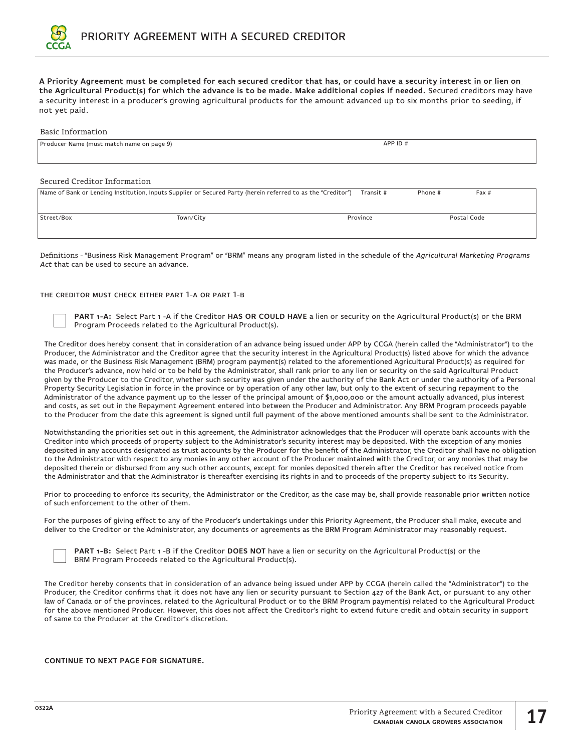

# **A Priority Agreement must be completed for each secured creditor that has, or could have a security interest in or lien on the Agricultural Product(s) for which the advance is to be made. Make additional copies if needed.** Secured creditors may have

a security interest in a producer's growing agricultural products for the amount advanced up to six months prior to seeding, if not yet paid.

## Basic Information

| APP ID #  |         |      |
|-----------|---------|------|
|           |         |      |
|           |         |      |
|           |         |      |
| Transit # | Phone # | Fax# |
|           |         |      |

| Town/City | Province | Postal Code |
|-----------|----------|-------------|
|           |          |             |
|           |          |             |

Definitions - "Business Risk Management Program" or "BRM" means any program listed in the schedule of the *Agricultural Marketing Programs Act* that can be used to secure an advance.

## the creditor must check either part 1-a or part 1-b

**PART 1-A:** Select Part 1 -A if the Creditor **HAS OR COULD HAVE** a lien or security on the Agricultural Product(s) or the BRM Program Proceeds related to the Agricultural Product(s).

The Creditor does hereby consent that in consideration of an advance being issued under APP by CCGA (herein called the "Administrator") to the Producer, the Administrator and the Creditor agree that the security interest in the Agricultural Product(s) listed above for which the advance was made, or the Business Risk Management (BRM) program payment(s) related to the aforementioned Agricultural Product(s) as required for the Producer's advance, now held or to be held by the Administrator, shall rank prior to any lien or security on the said Agricultural Product given by the Producer to the Creditor, whether such security was given under the authority of the Bank Act or under the authority of a Personal Property Security Legislation in force in the province or by operation of any other law, but only to the extent of securing repayment to the Administrator of the advance payment up to the lesser of the principal amount of \$1,000,000 or the amount actually advanced, plus interest and costs, as set out in the Repayment Agreement entered into between the Producer and Administrator. Any BRM Program proceeds payable to the Producer from the date this agreement is signed until full payment of the above mentioned amounts shall be sent to the Administrator.

Notwithstanding the priorities set out in this agreement, the Administrator acknowledges that the Producer will operate bank accounts with the Creditor into which proceeds of property subject to the Administrator's security interest may be deposited. With the exception of any monies deposited in any accounts designated as trust accounts by the Producer for the benefit of the Administrator, the Creditor shall have no obligation to the Administrator with respect to any monies in any other account of the Producer maintained with the Creditor, or any monies that may be deposited therein or disbursed from any such other accounts, except for monies deposited therein after the Creditor has received notice from the Administrator and that the Administrator is thereafter exercising its rights in and to proceeds of the property subject to its Security.

Prior to proceeding to enforce its security, the Administrator or the Creditor, as the case may be, shall provide reasonable prior written notice of such enforcement to the other of them.

For the purposes of giving effect to any of the Producer's undertakings under this Priority Agreement, the Producer shall make, execute and deliver to the Creditor or the Administrator, any documents or agreements as the BRM Program Administrator may reasonably request.

| <b>PART 1-B:</b> Select Part 1 -B if the Creditor DOES NOT have a lien or security on the Agricultural Product(s) or the |
|--------------------------------------------------------------------------------------------------------------------------|
| BRM Program Proceeds related to the Agricultural Product(s).                                                             |

The Creditor hereby consents that in consideration of an advance being issued under APP by CCGA (herein called the "Administrator") to the Producer, the Creditor confirms that it does not have any lien or security pursuant to Section 427 of the Bank Act, or pursuant to any other law of Canada or of the provinces, related to the Agricultural Product or to the BRM Program payment(s) related to the Agricultural Product for the above mentioned Producer. However, this does not affect the Creditor's right to extend future credit and obtain security in support of same to the Producer at the Creditor's discretion.

#### **CONTINUE TO NEXT PAGE FOR SIGNATURE.**